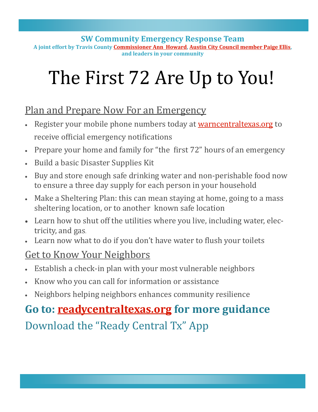**SW Community Emergency Response Team A joint effort by Travis County [Commissioner Ann Howard,](https://www.traviscountytx.gov/commissioners-court/precinct-three) [Austin City Council member Paige Ellis,](https://www.austintexas.gov/department/district-8) and leaders in your community**

# The First 72 Are Up to You!

# Plan and Prepare Now For an Emergency

- Register your mobile phone numbers today at [warncentraltexas.org](https://member.everbridge.net/892807736729515/login) to receive official emergency notifications
- Prepare your home and family for "the first 72" hours of an emergency
- Build a basic Disaster Supplies Kit
- Buy and store enough safe drinking water and non-perishable food now to ensure a three day supply for each person in your household
- Make a Sheltering Plan: this can mean staying at home, going to a mass sheltering location, or to another known safe location
- Learn how to shut off the utilities where you live, including water, electricity, and gas.
- Learn now what to do if you don't have water to flush your toilets

### Get to Know Your Neighbors

- Establish a check-in plan with your most vulnerable neighbors
- Know who you can call for information or assistance
- Neighbors helping neighbors enhances community resilience

# **Go to: [readycentraltexas.org](https://www.austintexas.gov/department/homeland-security-and-emergency-management/get-prepared) for more guidance**

Download the "Ready Central Tx" App